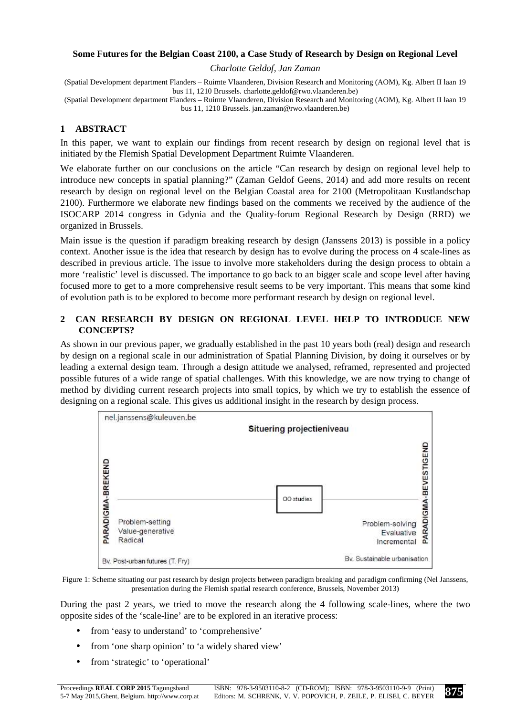### **Some Futures for the Belgian Coast 2100, a Case Study of Research by Design on Regional Level**

*Charlotte Geldof, Jan Zaman* 

(Spatial Development department Flanders – Ruimte Vlaanderen, Division Research and Monitoring (AOM), Kg. Albert II laan 19 bus 11, 1210 Brussels. charlotte.geldof@rwo.vlaanderen.be)

(Spatial Development department Flanders – Ruimte Vlaanderen, Division Research and Monitoring (AOM), Kg. Albert II laan 19 bus 11, 1210 Brussels. jan.zaman@rwo.vlaanderen.be)

# **1 ABSTRACT**

In this paper, we want to explain our findings from recent research by design on regional level that is initiated by the Flemish Spatial Development Department Ruimte Vlaanderen.

We elaborate further on our conclusions on the article "Can research by design on regional level help to introduce new concepts in spatial planning?" (Zaman Geldof Geens, 2014) and add more results on recent research by design on regional level on the Belgian Coastal area for 2100 (Metropolitaan Kustlandschap 2100). Furthermore we elaborate new findings based on the comments we received by the audience of the ISOCARP 2014 congress in Gdynia and the Quality-forum Regional Research by Design (RRD) we organized in Brussels.

Main issue is the question if paradigm breaking research by design (Janssens 2013) is possible in a policy context. Another issue is the idea that research by design has to evolve during the process on 4 scale-lines as described in previous article. The issue to involve more stakeholders during the design process to obtain a more 'realistic' level is discussed. The importance to go back to an bigger scale and scope level after having focused more to get to a more comprehensive result seems to be very important. This means that some kind of evolution path is to be explored to become more performant research by design on regional level.

# **2 CAN RESEARCH BY DESIGN ON REGIONAL LEVEL HELP TO INTRODUCE NEW CONCEPTS?**

As shown in our previous paper, we gradually established in the past 10 years both (real) design and research by design on a regional scale in our administration of Spatial Planning Division, by doing it ourselves or by leading a external design team. Through a design attitude we analysed, reframed, represented and projected possible futures of a wide range of spatial challenges. With this knowledge, we are now trying to change of method by dividing current research projects into small topics, by which we try to establish the essence of designing on a regional scale. This gives us additional insight in the research by design process.



Figure 1: Scheme situating our past research by design projects between paradigm breaking and paradigm confirming (Nel Janssens, presentation during the Flemish spatial research conference, Brussels, November 2013)

During the past 2 years, we tried to move the research along the 4 following scale-lines, where the two opposite sides of the 'scale-line' are to be explored in an iterative process:

- from 'easy to understand' to 'comprehensive'
- from 'one sharp opinion' to 'a widely shared view'
- from 'strategic' to 'operational'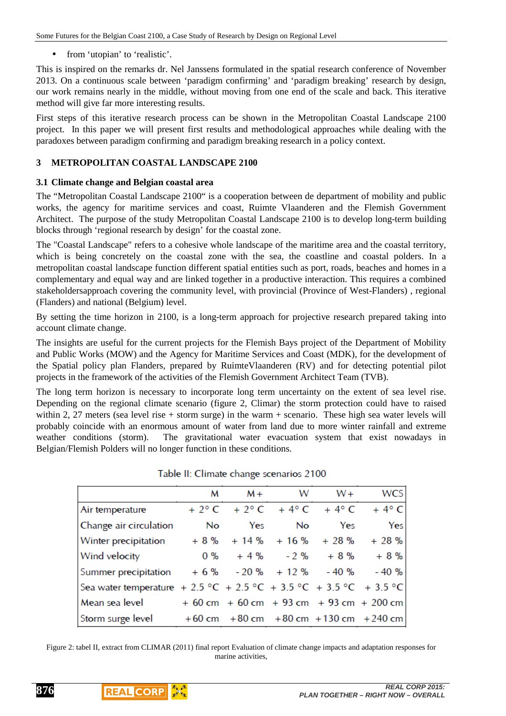from 'utopian' to 'realistic'.

This is inspired on the remarks dr. Nel Janssens formulated in the spatial research conference of November 2013. On a continuous scale between 'paradigm confirming' and 'paradigm breaking' research by design, our work remains nearly in the middle, without moving from one end of the scale and back. This iterative method will give far more interesting results.

First steps of this iterative research process can be shown in the Metropolitan Coastal Landscape 2100 project. In this paper we will present first results and methodological approaches while dealing with the paradoxes between paradigm confirming and paradigm breaking research in a policy context.

# **3 METROPOLITAN COASTAL LANDSCAPE 2100**

## **3.1 Climate change and Belgian coastal area**

The "Metropolitan Coastal Landscape 2100" is a cooperation between de department of mobility and public works, the agency for maritime services and coast, Ruimte Vlaanderen and the Flemish Government Architect. The purpose of the study Metropolitan Coastal Landscape 2100 is to develop long-term building blocks through 'regional research by design' for the coastal zone.

The "Coastal Landscape" refers to a cohesive whole landscape of the maritime area and the coastal territory, which is being concretely on the coastal zone with the sea, the coastline and coastal polders. In a metropolitan coastal landscape function different spatial entities such as port, roads, beaches and homes in a complementary and equal way and are linked together in a productive interaction. This requires a combined stakeholdersapproach covering the community level, with provincial (Province of West-Flanders) , regional (Flanders) and national (Belgium) level.

By setting the time horizon in 2100, is a long-term approach for projective research prepared taking into account climate change.

The insights are useful for the current projects for the Flemish Bays project of the Department of Mobility and Public Works (MOW) and the Agency for Maritime Services and Coast (MDK), for the development of the Spatial policy plan Flanders, prepared by RuimteVlaanderen (RV) and for detecting potential pilot projects in the framework of the activities of the Flemish Government Architect Team (TVB).

The long term horizon is necessary to incorporate long term uncertainty on the extent of sea level rise. Depending on the regional climate scenario (figure 2, Climar) the storm protection could have to raised within 2, 27 meters (sea level rise + storm surge) in the warm + scenario. These high sea water levels will probably coincide with an enormous amount of water from land due to more winter rainfall and extreme weather conditions (storm). The gravitational water evacuation system that exist nowadays in Belgian/Flemish Polders will no longer function in these conditions.

|                                                                    | M     | $M +$ | W   | $W +$                             | <b>WCS</b>                                     |
|--------------------------------------------------------------------|-------|-------|-----|-----------------------------------|------------------------------------------------|
| Air temperature                                                    |       |       |     | $+ 2^{\circ}$ C + 2°C + 4°C + 4°C | $+4^{\circ}$ C                                 |
| Change air circulation                                             | No.   | Yes   | No. | Yes                               | Yes                                            |
| Winter precipitation                                               | $+8%$ |       |     | $+14\% + 16\% + 28\%$             | $+28%$                                         |
| <b>Wind velocity</b>                                               |       |       |     | $0\%$ + 4% - 2% + 8%              | + 8 %                                          |
| Summer precipitation                                               |       |       |     | $+ 6 \%$ - 20 % + 12 % - 40 %     | $-40%$                                         |
| Sea water temperature + 2.5 °C + 2.5 °C + 3.5 °C + 3.5 °C + 3.5 °C |       |       |     |                                   |                                                |
| Mean sea level                                                     |       |       |     |                                   | $+60$ cm $+60$ cm $+93$ cm $+93$ cm $+200$ cm  |
| Storm surge level                                                  |       |       |     |                                   | $+60$ cm $+80$ cm $+80$ cm $+130$ cm $+240$ cm |

Table II: Climate change scenarios 2100

Figure 2: tabel II, extract from CLIMAR (2011) final report Evaluation of climate change impacts and adaptation responses for marine activities,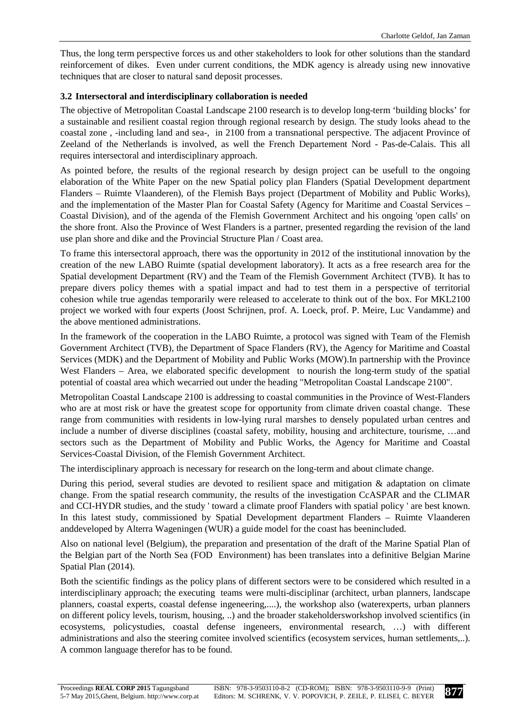Thus, the long term perspective forces us and other stakeholders to look for other solutions than the standard reinforcement of dikes. Even under current conditions, the MDK agency is already using new innovative techniques that are closer to natural sand deposit processes.

### **3.2 Intersectoral and interdisciplinary collaboration is needed**

The objective of Metropolitan Coastal Landscape 2100 research is to develop long-term 'building blocks' for a sustainable and resilient coastal region through regional research by design. The study looks ahead to the coastal zone , -including land and sea-, in 2100 from a transnational perspective. The adjacent Province of Zeeland of the Netherlands is involved, as well the French Departement Nord - Pas-de-Calais. This all requires intersectoral and interdisciplinary approach.

As pointed before, the results of the regional research by design project can be usefull to the ongoing elaboration of the White Paper on the new Spatial policy plan Flanders (Spatial Development department Flanders – Ruimte Vlaanderen), of the Flemish Bays project (Department of Mobility and Public Works), and the implementation of the Master Plan for Coastal Safety (Agency for Maritime and Coastal Services – Coastal Division), and of the agenda of the Flemish Government Architect and his ongoing 'open calls' on the shore front. Also the Province of West Flanders is a partner, presented regarding the revision of the land use plan shore and dike and the Provincial Structure Plan / Coast area.

To frame this intersectoral approach, there was the opportunity in 2012 of the institutional innovation by the creation of the new LABO Ruimte (spatial development laboratory). It acts as a free research area for the Spatial development Department (RV) and the Team of the Flemish Government Architect (TVB). It has to prepare divers policy themes with a spatial impact and had to test them in a perspective of territorial cohesion while true agendas temporarily were released to accelerate to think out of the box. For MKL2100 project we worked with four experts (Joost Schrijnen, prof. A. Loeck, prof. P. Meire, Luc Vandamme) and the above mentioned administrations.

In the framework of the cooperation in the LABO Ruimte, a protocol was signed with Team of the Flemish Government Architect (TVB), the Department of Space Flanders (RV), the Agency for Maritime and Coastal Services (MDK) and the Department of Mobility and Public Works (MOW).In partnership with the Province West Flanders – Area, we elaborated specific development to nourish the long-term study of the spatial potential of coastal area which wecarried out under the heading "Metropolitan Coastal Landscape 2100".

Metropolitan Coastal Landscape 2100 is addressing to coastal communities in the Province of West-Flanders who are at most risk or have the greatest scope for opportunity from climate driven coastal change. These range from communities with residents in low-lying rural marshes to densely populated urban centres and include a number of diverse disciplines (coastal safety, mobility, housing and architecture, tourisme, …and sectors such as the Department of Mobility and Public Works, the Agency for Maritime and Coastal Services-Coastal Division, of the Flemish Government Architect.

The interdisciplinary approach is necessary for research on the long-term and about climate change.

During this period, several studies are devoted to resilient space and mitigation & adaptation on climate change. From the spatial research community, the results of the investigation CcASPAR and the CLIMAR and CCI-HYDR studies, and the study ' toward a climate proof Flanders with spatial policy ' are best known. In this latest study, commissioned by Spatial Development department Flanders – Ruimte Vlaanderen anddeveloped by Alterra Wageningen (WUR) a guide model for the coast has beenincluded.

Also on national level (Belgium), the preparation and presentation of the draft of the Marine Spatial Plan of the Belgian part of the North Sea (FOD Environment) has been translates into a definitive Belgian Marine Spatial Plan (2014).

Both the scientific findings as the policy plans of different sectors were to be considered which resulted in a interdisciplinary approach; the executing teams were multi-disciplinar (architect, urban planners, landscape planners, coastal experts, coastal defense ingeneering,....), the workshop also (waterexperts, urban planners on different policy levels, tourism, housing, ..) and the broader stakeholdersworkshop involved scientifics (in ecosystems, policystudies, coastal defense ingeneers, environmental research, …) with different administrations and also the steering comitee involved scientifics (ecosystem services, human settlements,..). A common language therefor has to be found.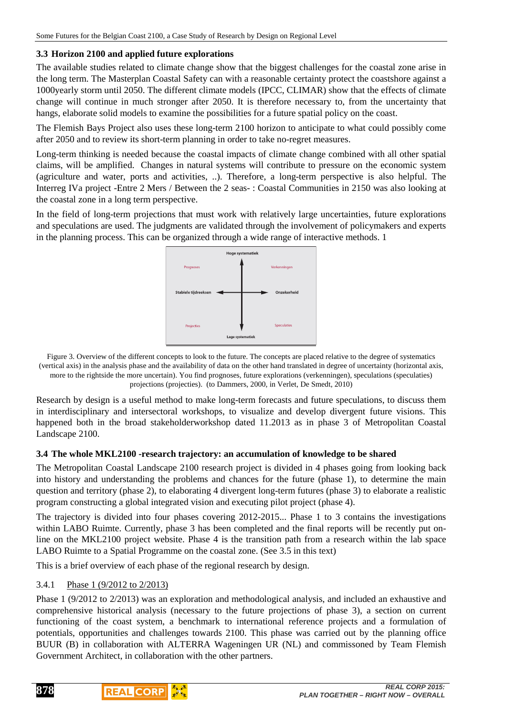### **3.3 Horizon 2100 and applied future explorations**

The available studies related to climate change show that the biggest challenges for the coastal zone arise in the long term. The Masterplan Coastal Safety can with a reasonable certainty protect the coastshore against a 1000yearly storm until 2050. The different climate models (IPCC, CLIMAR) show that the effects of climate change will continue in much stronger after 2050. It is therefore necessary to, from the uncertainty that hangs, elaborate solid models to examine the possibilities for a future spatial policy on the coast.

The Flemish Bays Project also uses these long-term 2100 horizon to anticipate to what could possibly come after 2050 and to review its short-term planning in order to take no-regret measures.

Long-term thinking is needed because the coastal impacts of climate change combined with all other spatial claims, will be amplified. Changes in natural systems will contribute to pressure on the economic system (agriculture and water, ports and activities, ..). Therefore, a long-term perspective is also helpful. The Interreg IVa project -Entre 2 Mers / Between the 2 seas- : Coastal Communities in 2150 was also looking at the coastal zone in a long term perspective.

In the field of long-term projections that must work with relatively large uncertainties, future explorations and speculations are used. The judgments are validated through the involvement of policymakers and experts in the planning process. This can be organized through a wide range of interactive methods. 1



Figure 3. Overview of the different concepts to look to the future. The concepts are placed relative to the degree of systematics (vertical axis) in the analysis phase and the availability of data on the other hand translated in degree of uncertainty (horizontal axis, more to the rightside the more uncertain). You find prognoses, future explorations (verkenningen), speculations (speculaties) projections (projecties). (to Dammers, 2000, in Verlet, De Smedt, 2010)

Research by design is a useful method to make long-term forecasts and future speculations, to discuss them in interdisciplinary and intersectoral workshops, to visualize and develop divergent future visions. This happened both in the broad stakeholderworkshop dated 11.2013 as in phase 3 of Metropolitan Coastal Landscape 2100.

#### **3.4 The whole MKL2100 -research trajectory: an accumulation of knowledge to be shared**

The Metropolitan Coastal Landscape 2100 research project is divided in 4 phases going from looking back into history and understanding the problems and chances for the future (phase 1), to determine the main question and territory (phase 2), to elaborating 4 divergent long-term futures (phase 3) to elaborate a realistic program constructing a global integrated vision and executing pilot project (phase 4).

The trajectory is divided into four phases covering 2012-2015... Phase 1 to 3 contains the investigations within LABO Ruimte. Currently, phase 3 has been completed and the final reports will be recently put online on the MKL2100 project website. Phase 4 is the transition path from a research within the lab space LABO Ruimte to a Spatial Programme on the coastal zone. (See 3.5 in this text)

This is a brief overview of each phase of the regional research by design.

# 3.4.1 Phase 1 (9/2012 to 2/2013)

Phase 1 (9/2012 to 2/2013) was an exploration and methodological analysis, and included an exhaustive and comprehensive historical analysis (necessary to the future projections of phase 3), a section on current functioning of the coast system, a benchmark to international reference projects and a formulation of potentials, opportunities and challenges towards 2100. This phase was carried out by the planning office BUUR (B) in collaboration with ALTERRA Wageningen UR (NL) and commissoned by Team Flemish Government Architect, in collaboration with the other partners.



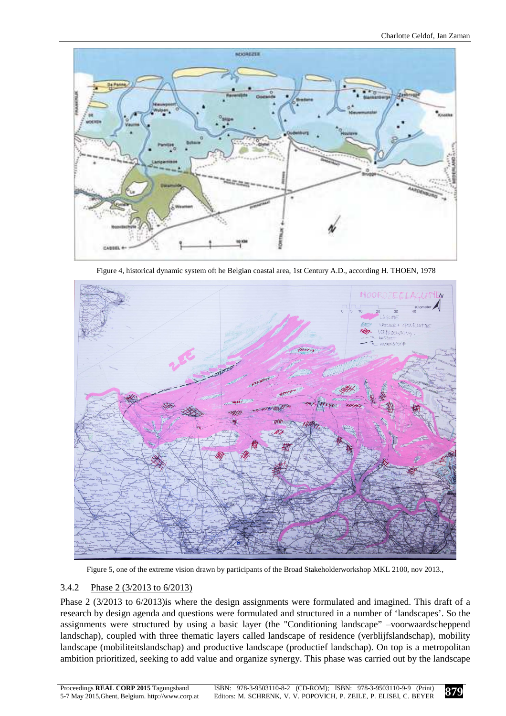

Figure 4, historical dynamic system oft he Belgian coastal area, 1st Century A.D., according H. THOEN, 1978



Figure 5, one of the extreme vision drawn by participants of the Broad Stakeholderworkshop MKL 2100, nov 2013.,

# 3.4.2 Phase 2 (3/2013 to 6/2013)

Phase 2 (3/2013 to 6/2013)is where the design assignments were formulated and imagined. This draft of a research by design agenda and questions were formulated and structured in a number of 'landscapes'. So the assignments were structured by using a basic layer (the "Conditioning landscape" –voorwaardscheppend landschap), coupled with three thematic layers called landscape of residence (verblijfslandschap), mobility landscape (mobiliteitslandschap) and productive landscape (productief landschap). On top is a metropolitan ambition prioritized, seeking to add value and organize synergy. This phase was carried out by the landscape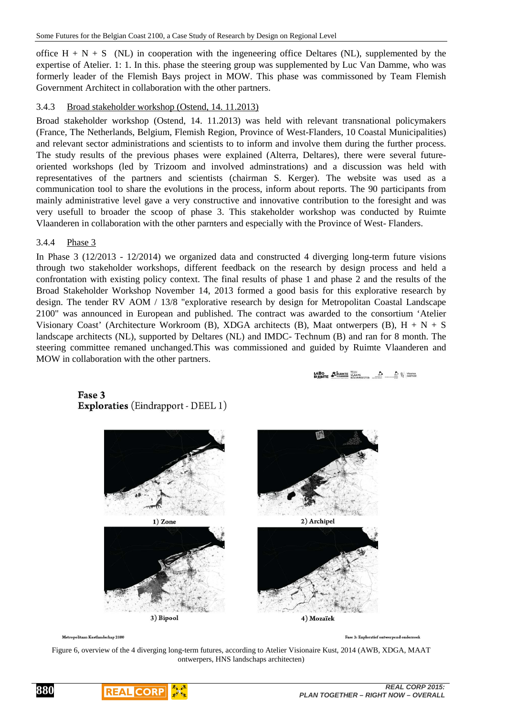office  $H + N + S$  (NL) in cooperation with the ingeneering office Deltares (NL), supplemented by the expertise of Atelier. 1: 1. In this. phase the steering group was supplemented by Luc Van Damme, who was formerly leader of the Flemish Bays project in MOW. This phase was commissoned by Team Flemish Government Architect in collaboration with the other partners.

### 3.4.3 Broad stakeholder workshop (Ostend, 14. 11.2013)

Broad stakeholder workshop (Ostend, 14. 11.2013) was held with relevant transnational policymakers (France, The Netherlands, Belgium, Flemish Region, Province of West-Flanders, 10 Coastal Municipalities) and relevant sector administrations and scientists to to inform and involve them during the further process. The study results of the previous phases were explained (Alterra, Deltares), there were several futureoriented workshops (led by Trizoom and involved adminstrations) and a discussion was held with representatives of the partners and scientists (chairman S. Kerger). The website was used as a communication tool to share the evolutions in the process, inform about reports. The 90 participants from mainly administrative level gave a very constructive and innovative contribution to the foresight and was very usefull to broader the scoop of phase 3. This stakeholder workshop was conducted by Ruimte Vlaanderen in collaboration with the other parnters and especially with the Province of West- Flanders.

#### 3.4.4 Phase 3

In Phase 3 (12/2013 - 12/2014) we organized data and constructed 4 diverging long-term future visions through two stakeholder workshops, different feedback on the research by design process and held a confrontation with existing policy context. The final results of phase 1 and phase 2 and the results of the Broad Stakeholder Workshop November 14, 2013 formed a good basis for this explorative research by design. The tender RV AOM / 13/8 "explorative research by design for Metropolitan Coastal Landscape 2100" was announced in European and published. The contract was awarded to the consortium 'Atelier Visionary Coast' (Architecture Workroom (B), XDGA architects (B), Maat ontwerpers (B),  $H + N + S$ landscape architects (NL), supported by Deltares (NL) and IMDC- Technum (B) and ran for 8 month. The steering committee remaned unchanged.This was commissioned and guided by Ruimte Vlaanderen and MOW in collaboration with the other partners.

**LABO SERUMIE** VIAAMS (AAAMS AND ALSO WEAPER

#### Fase 3 **Exploraties** (Eindrapport - DEEL 1)



Metropolitaan Kustlandschap 2100

**880**

Fase 3: Exploratief ontwerpend onderzoek

Figure 6, overview of the 4 diverging long-term futures, according to Atelier Visionaire Kust, 2014 (AWB, XDGA, MAAT ontwerpers, HNS landschaps architecten)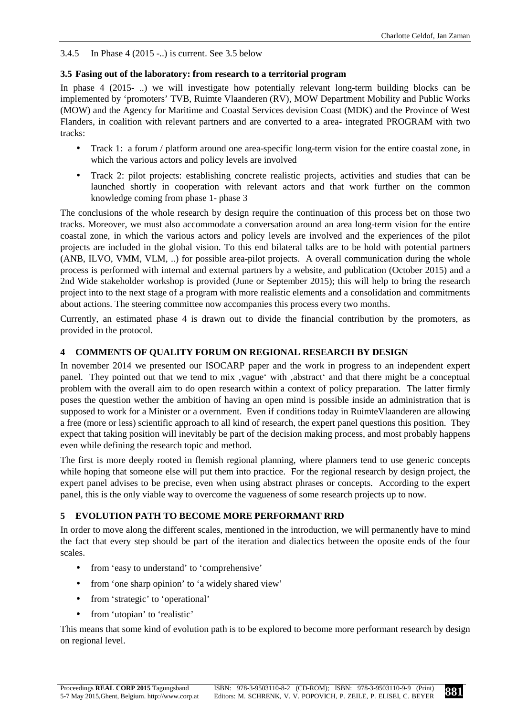# 3.4.5 In Phase 4 (2015 -..) is current. See 3.5 below

# **3.5 Fasing out of the laboratory: from research to a territorial program**

In phase 4 (2015-..) we will investigate how potentially relevant long-term building blocks can be implemented by 'promoters' TVB, Ruimte Vlaanderen (RV), MOW Department Mobility and Public Works (MOW) and the Agency for Maritime and Coastal Services devision Coast (MDK) and the Province of West Flanders, in coalition with relevant partners and are converted to a area- integrated PROGRAM with two tracks:

- Track 1: a forum / platform around one area-specific long-term vision for the entire coastal zone, in which the various actors and policy levels are involved
- Track 2: pilot projects: establishing concrete realistic projects, activities and studies that can be launched shortly in cooperation with relevant actors and that work further on the common knowledge coming from phase 1- phase 3

The conclusions of the whole research by design require the continuation of this process bet on those two tracks. Moreover, we must also accommodate a conversation around an area long-term vision for the entire coastal zone, in which the various actors and policy levels are involved and the experiences of the pilot projects are included in the global vision. To this end bilateral talks are to be hold with potential partners (ANB, ILVO, VMM, VLM, ..) for possible area-pilot projects. A overall communication during the whole process is performed with internal and external partners by a website, and publication (October 2015) and a 2nd Wide stakeholder workshop is provided (June or September 2015); this will help to bring the research project into to the next stage of a program with more realistic elements and a consolidation and commitments about actions. The steering committee now accompanies this process every two months.

Currently, an estimated phase 4 is drawn out to divide the financial contribution by the promoters, as provided in the protocol.

# **4 COMMENTS OF QUALITY FORUM ON REGIONAL RESEARCH BY DESIGN**

In november 2014 we presented our ISOCARP paper and the work in progress to an independent expert panel. They pointed out that we tend to mix 'vague' with 'abstract' and that there might be a conceptual problem with the overall aim to do open research within a context of policy preparation. The latter firmly poses the question wether the ambition of having an open mind is possible inside an administration that is supposed to work for a Minister or a overnment. Even if conditions today in RuimteVlaanderen are allowing a free (more or less) scientific approach to all kind of research, the expert panel questions this position. They expect that taking position will inevitably be part of the decision making process, and most probably happens even while defining the research topic and method.

The first is more deeply rooted in flemish regional planning, where planners tend to use generic concepts while hoping that someone else will put them into practice. For the regional research by design project, the expert panel advises to be precise, even when using abstract phrases or concepts. According to the expert panel, this is the only viable way to overcome the vagueness of some research projects up to now.

# **5 EVOLUTION PATH TO BECOME MORE PERFORMANT RRD**

In order to move along the different scales, mentioned in the introduction, we will permanently have to mind the fact that every step should be part of the iteration and dialectics between the oposite ends of the four scales.

- from 'easy to understand' to 'comprehensive'
- from 'one sharp opinion' to 'a widely shared view'
- from 'strategic' to 'operational'
- from 'utopian' to 'realistic'

This means that some kind of evolution path is to be explored to become more performant research by design on regional level.